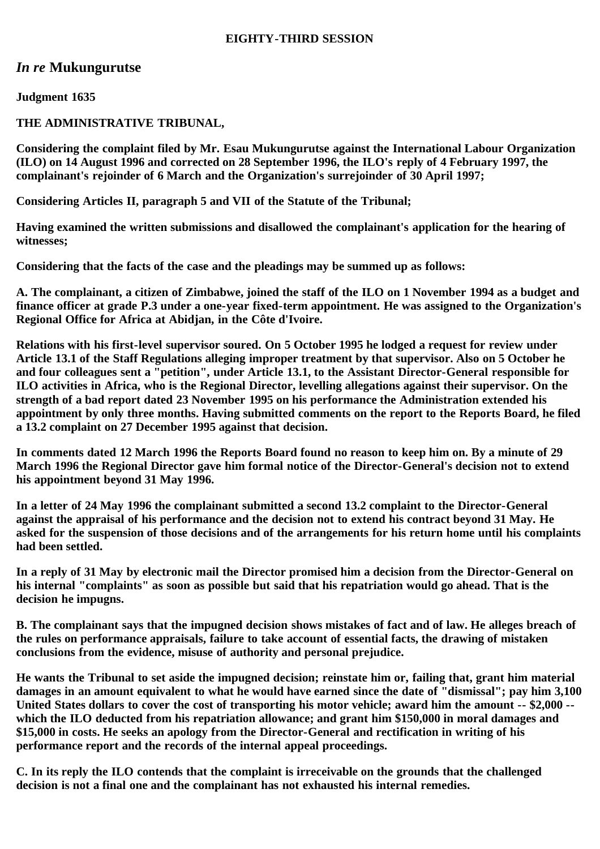## **EIGHTY-THIRD SESSION**

# *In re* **Mukungurutse**

**Judgment 1635**

# **THE ADMINISTRATIVE TRIBUNAL,**

**Considering the complaint filed by Mr. Esau Mukungurutse against the International Labour Organization (ILO) on 14 August 1996 and corrected on 28 September 1996, the ILO's reply of 4 February 1997, the complainant's rejoinder of 6 March and the Organization's surrejoinder of 30 April 1997;**

**Considering Articles II, paragraph 5 and VII of the Statute of the Tribunal;**

**Having examined the written submissions and disallowed the complainant's application for the hearing of witnesses;**

**Considering that the facts of the case and the pleadings may be summed up as follows:**

**A. The complainant, a citizen of Zimbabwe, joined the staff of the ILO on 1 November 1994 as a budget and finance officer at grade P.3 under a one-year fixed-term appointment. He was assigned to the Organization's Regional Office for Africa at Abidjan, in the Côte d'Ivoire.**

**Relations with his first-level supervisor soured. On 5 October 1995 he lodged a request for review under Article 13.1 of the Staff Regulations alleging improper treatment by that supervisor. Also on 5 October he and four colleagues sent a "petition", under Article 13.1, to the Assistant Director-General responsible for ILO activities in Africa, who is the Regional Director, levelling allegations against their supervisor. On the strength of a bad report dated 23 November 1995 on his performance the Administration extended his appointment by only three months. Having submitted comments on the report to the Reports Board, he filed a 13.2 complaint on 27 December 1995 against that decision.**

**In comments dated 12 March 1996 the Reports Board found no reason to keep him on. By a minute of 29 March 1996 the Regional Director gave him formal notice of the Director-General's decision not to extend his appointment beyond 31 May 1996.**

**In a letter of 24 May 1996 the complainant submitted a second 13.2 complaint to the Director-General against the appraisal of his performance and the decision not to extend his contract beyond 31 May. He asked for the suspension of those decisions and of the arrangements for his return home until his complaints had been settled.**

**In a reply of 31 May by electronic mail the Director promised him a decision from the Director-General on his internal "complaints" as soon as possible but said that his repatriation would go ahead. That is the decision he impugns.**

**B. The complainant says that the impugned decision shows mistakes of fact and of law. He alleges breach of the rules on performance appraisals, failure to take account of essential facts, the drawing of mistaken conclusions from the evidence, misuse of authority and personal prejudice.**

**He wants the Tribunal to set aside the impugned decision; reinstate him or, failing that, grant him material damages in an amount equivalent to what he would have earned since the date of "dismissal"; pay him 3,100 United States dollars to cover the cost of transporting his motor vehicle; award him the amount -- \$2,000 - which the ILO deducted from his repatriation allowance; and grant him \$150,000 in moral damages and \$15,000 in costs. He seeks an apology from the Director-General and rectification in writing of his performance report and the records of the internal appeal proceedings.**

**C. In its reply the ILO contends that the complaint is irreceivable on the grounds that the challenged decision is not a final one and the complainant has not exhausted his internal remedies.**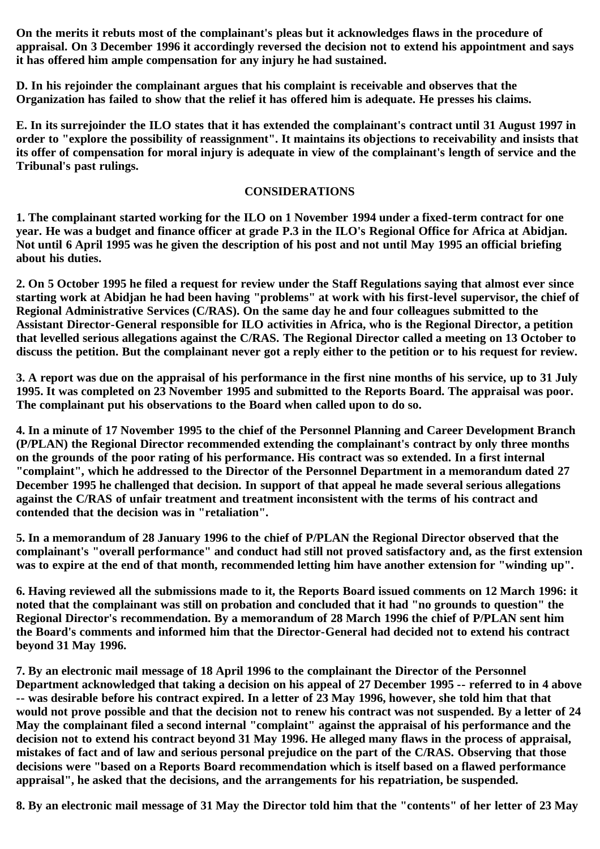**On the merits it rebuts most of the complainant's pleas but it acknowledges flaws in the procedure of appraisal. On 3 December 1996 it accordingly reversed the decision not to extend his appointment and says it has offered him ample compensation for any injury he had sustained.**

**D. In his rejoinder the complainant argues that his complaint is receivable and observes that the Organization has failed to show that the relief it has offered him is adequate. He presses his claims.**

**E. In its surrejoinder the ILO states that it has extended the complainant's contract until 31 August 1997 in order to "explore the possibility of reassignment". It maintains its objections to receivability and insists that its offer of compensation for moral injury is adequate in view of the complainant's length of service and the Tribunal's past rulings.**

### **CONSIDERATIONS**

**1. The complainant started working for the ILO on 1 November 1994 under a fixed-term contract for one year. He was a budget and finance officer at grade P.3 in the ILO's Regional Office for Africa at Abidjan. Not until 6 April 1995 was he given the description of his post and not until May 1995 an official briefing about his duties.**

**2. On 5 October 1995 he filed a request for review under the Staff Regulations saying that almost ever since starting work at Abidjan he had been having "problems" at work with his first-level supervisor, the chief of Regional Administrative Services (C/RAS). On the same day he and four colleagues submitted to the Assistant Director-General responsible for ILO activities in Africa, who is the Regional Director, a petition that levelled serious allegations against the C/RAS. The Regional Director called a meeting on 13 October to discuss the petition. But the complainant never got a reply either to the petition or to his request for review.**

**3. A report was due on the appraisal of his performance in the first nine months of his service, up to 31 July 1995. It was completed on 23 November 1995 and submitted to the Reports Board. The appraisal was poor. The complainant put his observations to the Board when called upon to do so.**

**4. In a minute of 17 November 1995 to the chief of the Personnel Planning and Career Development Branch (P/PLAN) the Regional Director recommended extending the complainant's contract by only three months on the grounds of the poor rating of his performance. His contract was so extended. In a first internal "complaint", which he addressed to the Director of the Personnel Department in a memorandum dated 27 December 1995 he challenged that decision. In support of that appeal he made several serious allegations against the C/RAS of unfair treatment and treatment inconsistent with the terms of his contract and contended that the decision was in "retaliation".**

**5. In a memorandum of 28 January 1996 to the chief of P/PLAN the Regional Director observed that the complainant's "overall performance" and conduct had still not proved satisfactory and, as the first extension was to expire at the end of that month, recommended letting him have another extension for "winding up".**

**6. Having reviewed all the submissions made to it, the Reports Board issued comments on 12 March 1996: it noted that the complainant was still on probation and concluded that it had "no grounds to question" the Regional Director's recommendation. By a memorandum of 28 March 1996 the chief of P/PLAN sent him the Board's comments and informed him that the Director-General had decided not to extend his contract beyond 31 May 1996.**

**7. By an electronic mail message of 18 April 1996 to the complainant the Director of the Personnel Department acknowledged that taking a decision on his appeal of 27 December 1995 -- referred to in 4 above -- was desirable before his contract expired. In a letter of 23 May 1996, however, she told him that that would not prove possible and that the decision not to renew his contract was not suspended. By a letter of 24 May the complainant filed a second internal "complaint" against the appraisal of his performance and the decision not to extend his contract beyond 31 May 1996. He alleged many flaws in the process of appraisal, mistakes of fact and of law and serious personal prejudice on the part of the C/RAS. Observing that those decisions were "based on a Reports Board recommendation which is itself based on a flawed performance appraisal", he asked that the decisions, and the arrangements for his repatriation, be suspended.**

**8. By an electronic mail message of 31 May the Director told him that the "contents" of her letter of 23 May**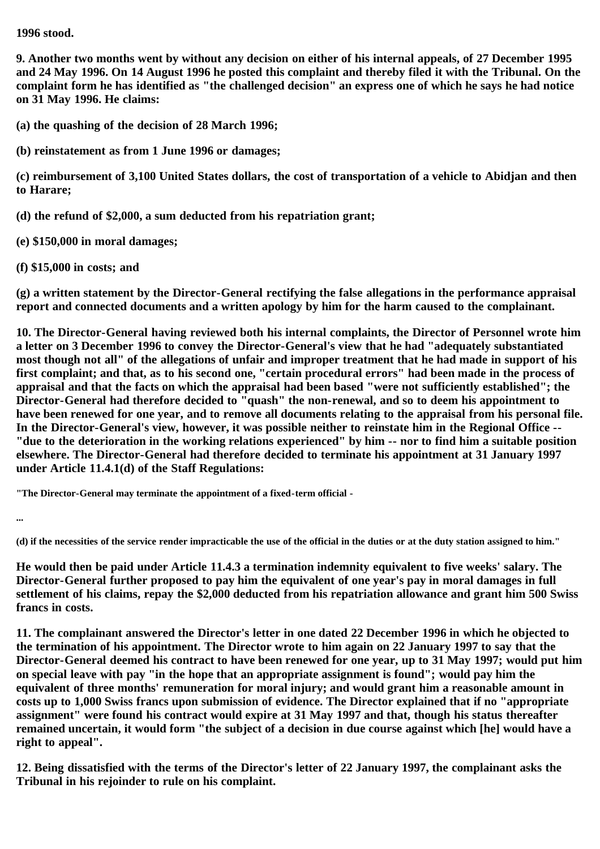### **1996 stood.**

**9. Another two months went by without any decision on either of his internal appeals, of 27 December 1995 and 24 May 1996. On 14 August 1996 he posted this complaint and thereby filed it with the Tribunal. On the complaint form he has identified as "the challenged decision" an express one of which he says he had notice on 31 May 1996. He claims:**

**(a) the quashing of the decision of 28 March 1996;**

**(b) reinstatement as from 1 June 1996 or damages;**

**(c) reimbursement of 3,100 United States dollars, the cost of transportation of a vehicle to Abidjan and then to Harare;**

**(d) the refund of \$2,000, a sum deducted from his repatriation grant;**

**(e) \$150,000 in moral damages;**

**(f) \$15,000 in costs; and**

**(g) a written statement by the Director-General rectifying the false allegations in the performance appraisal report and connected documents and a written apology by him for the harm caused to the complainant.**

**10. The Director-General having reviewed both his internal complaints, the Director of Personnel wrote him a letter on 3 December 1996 to convey the Director-General's view that he had "adequately substantiated most though not all" of the allegations of unfair and improper treatment that he had made in support of his first complaint; and that, as to his second one, "certain procedural errors" had been made in the process of appraisal and that the facts on which the appraisal had been based "were not sufficiently established"; the Director-General had therefore decided to "quash" the non-renewal, and so to deem his appointment to have been renewed for one year, and to remove all documents relating to the appraisal from his personal file. In the Director-General's view, however, it was possible neither to reinstate him in the Regional Office -- "due to the deterioration in the working relations experienced" by him -- nor to find him a suitable position elsewhere. The Director-General had therefore decided to terminate his appointment at 31 January 1997 under Article 11.4.1(d) of the Staff Regulations:**

**"The Director-General may terminate the appointment of a fixed-term official -**

**...**

**(d) if the necessities of the service render impracticable the use of the official in the duties or at the duty station assigned to him."**

**He would then be paid under Article 11.4.3 a termination indemnity equivalent to five weeks' salary. The Director-General further proposed to pay him the equivalent of one year's pay in moral damages in full settlement of his claims, repay the \$2,000 deducted from his repatriation allowance and grant him 500 Swiss francs in costs.**

**11. The complainant answered the Director's letter in one dated 22 December 1996 in which he objected to the termination of his appointment. The Director wrote to him again on 22 January 1997 to say that the Director-General deemed his contract to have been renewed for one year, up to 31 May 1997; would put him on special leave with pay "in the hope that an appropriate assignment is found"; would pay him the equivalent of three months' remuneration for moral injury; and would grant him a reasonable amount in costs up to 1,000 Swiss francs upon submission of evidence. The Director explained that if no "appropriate assignment" were found his contract would expire at 31 May 1997 and that, though his status thereafter remained uncertain, it would form "the subject of a decision in due course against which [he] would have a right to appeal".**

**12. Being dissatisfied with the terms of the Director's letter of 22 January 1997, the complainant asks the Tribunal in his rejoinder to rule on his complaint.**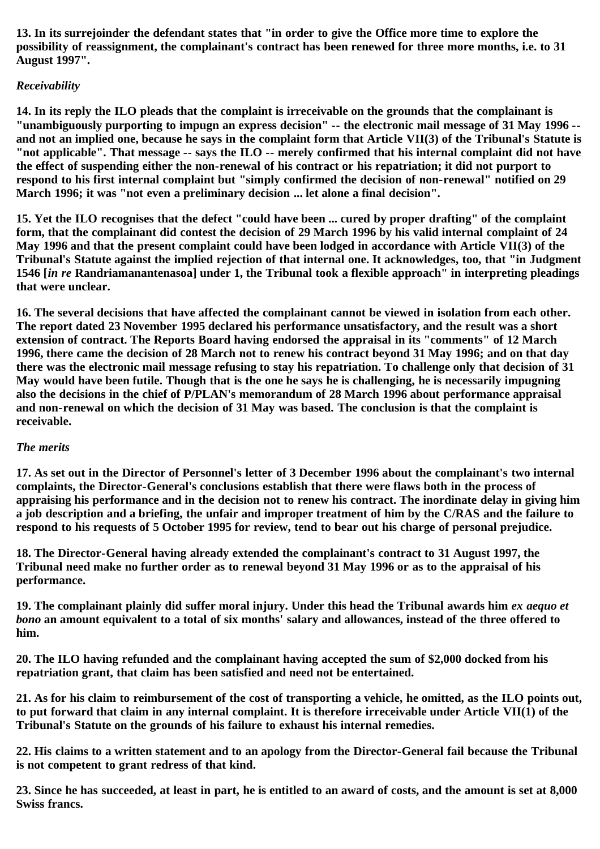**13. In its surrejoinder the defendant states that "in order to give the Office more time to explore the possibility of reassignment, the complainant's contract has been renewed for three more months, i.e. to 31 August 1997".**

# *Receivability*

**14. In its reply the ILO pleads that the complaint is irreceivable on the grounds that the complainant is "unambiguously purporting to impugn an express decision" -- the electronic mail message of 31 May 1996 - and not an implied one, because he says in the complaint form that Article VII(3) of the Tribunal's Statute is "not applicable". That message -- says the ILO -- merely confirmed that his internal complaint did not have the effect of suspending either the non-renewal of his contract or his repatriation; it did not purport to respond to his first internal complaint but "simply confirmed the decision of non-renewal" notified on 29 March 1996; it was "not even a preliminary decision ... let alone a final decision".**

**15. Yet the ILO recognises that the defect "could have been ... cured by proper drafting" of the complaint form, that the complainant did contest the decision of 29 March 1996 by his valid internal complaint of 24 May 1996 and that the present complaint could have been lodged in accordance with Article VII(3) of the Tribunal's Statute against the implied rejection of that internal one. It acknowledges, too, that "in Judgment 1546 [***in re* **Randriamanantenasoa] under 1, the Tribunal took a flexible approach" in interpreting pleadings that were unclear.**

**16. The several decisions that have affected the complainant cannot be viewed in isolation from each other. The report dated 23 November 1995 declared his performance unsatisfactory, and the result was a short extension of contract. The Reports Board having endorsed the appraisal in its "comments" of 12 March 1996, there came the decision of 28 March not to renew his contract beyond 31 May 1996; and on that day there was the electronic mail message refusing to stay his repatriation. To challenge only that decision of 31 May would have been futile. Though that is the one he says he is challenging, he is necessarily impugning also the decisions in the chief of P/PLAN's memorandum of 28 March 1996 about performance appraisal and non-renewal on which the decision of 31 May was based. The conclusion is that the complaint is receivable.**

### *The merits*

**17. As set out in the Director of Personnel's letter of 3 December 1996 about the complainant's two internal complaints, the Director-General's conclusions establish that there were flaws both in the process of appraising his performance and in the decision not to renew his contract. The inordinate delay in giving him a job description and a briefing, the unfair and improper treatment of him by the C/RAS and the failure to respond to his requests of 5 October 1995 for review, tend to bear out his charge of personal prejudice.**

**18. The Director-General having already extended the complainant's contract to 31 August 1997, the Tribunal need make no further order as to renewal beyond 31 May 1996 or as to the appraisal of his performance.**

19. The complainant plainly did suffer moral injury. Under this head the Tribunal awards him *ex aequo et bono* **an amount equivalent to a total of six months' salary and allowances, instead of the three offered to him.**

**20. The ILO having refunded and the complainant having accepted the sum of \$2,000 docked from his repatriation grant, that claim has been satisfied and need not be entertained.**

**21. As for his claim to reimbursement of the cost of transporting a vehicle, he omitted, as the ILO points out, to put forward that claim in any internal complaint. It is therefore irreceivable under Article VII(1) of the Tribunal's Statute on the grounds of his failure to exhaust his internal remedies.**

**22. His claims to a written statement and to an apology from the Director-General fail because the Tribunal is not competent to grant redress of that kind.**

**23. Since he has succeeded, at least in part, he is entitled to an award of costs, and the amount is set at 8,000 Swiss francs.**